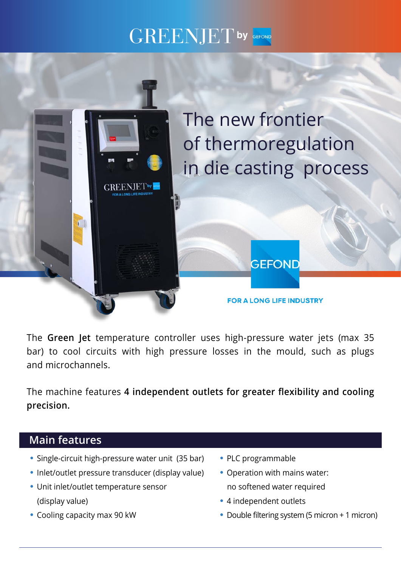## GREENJET**by**



The **Green Jet** temperature controller uses high-pressure water jets (max 35 bar) to cool circuits with high pressure losses in the mould, such as plugs and microchannels.

The machine features **4 independent outlets for greater flexibility and cooling precision.**

## **Main features**

- **•** Single-circuit high-pressure water unit (35 bar)
- **•** Inlet/outlet pressure transducer (display value)
- **•** Unit inlet/outlet temperature sensor (display value)
- **•** Cooling capacity max 90 kW
- **•** PLC programmable
- **•** Operation with mains water: no softened water required
- **•** 4 independent outlets
- **•** Double filtering system (5 micron + 1 micron)